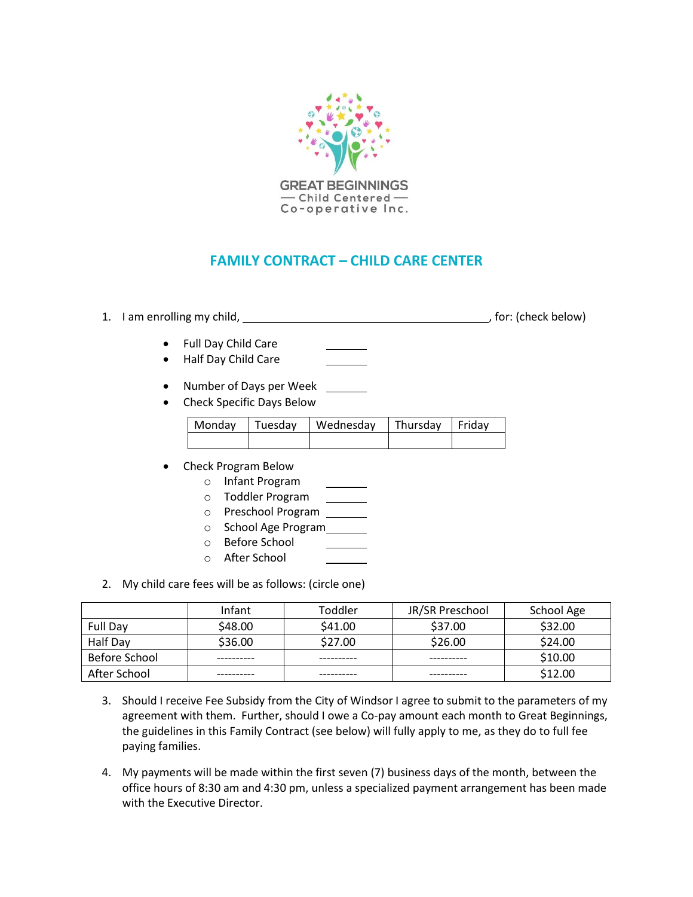

## **FAMILY CONTRACT – CHILD CARE CENTER**

## 1. I am enrolling my child, and the state of the state of the state of the state of the state of the state of the state of the state of the state of the state of the state of the state of the state of the state of the stat

 $\mathcal{L}^{\text{max}}$  , and  $\mathcal{L}^{\text{max}}$ 

- Full Day Child Care
- Half Day Child Care
- Number of Days per Week
- Check Specific Days Below

|  | Monday Tuesday   Wednesday   Thursday   Friday |  |
|--|------------------------------------------------|--|
|  |                                                |  |

- Check Program Below
	- o Infant Program
	- o Toddler Program
	- o Preschool Program
	- o School Age Program
	- o Before School
	- o After School
- 2. My child care fees will be as follows: (circle one)

|                 | Infant  | Toddler | JR/SR Preschool | School Age |
|-----------------|---------|---------|-----------------|------------|
| <b>Full Day</b> | \$48.00 | \$41.00 | \$37.00         | \$32.00    |
| Half Day        | \$36.00 | \$27.00 | \$26.00         | \$24.00    |
| Before School   |         |         |                 | \$10.00    |
| After School    |         |         |                 | \$12.00    |

- 3. Should I receive Fee Subsidy from the City of Windsor I agree to submit to the parameters of my agreement with them. Further, should I owe a Co-pay amount each month to Great Beginnings, the guidelines in this Family Contract (see below) will fully apply to me, as they do to full fee paying families.
- 4. My payments will be made within the first seven (7) business days of the month, between the office hours of 8:30 am and 4:30 pm, unless a specialized payment arrangement has been made with the Executive Director.